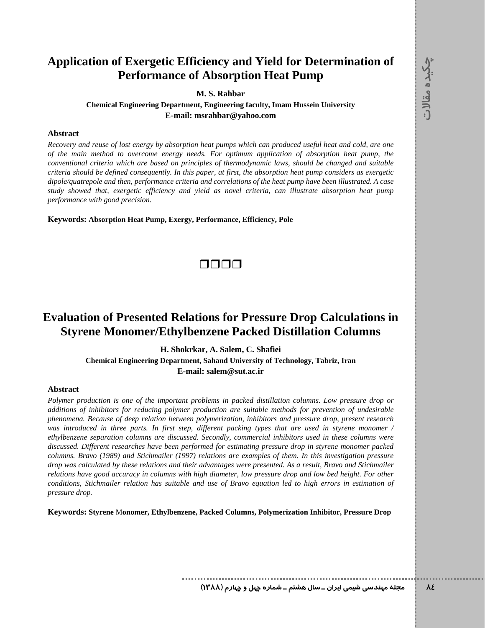## **Application of Exergetic Efficiency and Yield for Determination of Performance of Absorption Heat Pump**

**M. S. Rahbar** 

**Chemical Engineering Department, Engineering faculty, Imam Hussein University E-mail: msrahbar@yahoo.com** 

### **Abstract**

*Recovery and reuse of lost energy by absorption heat pumps which can produced useful heat and cold, are one of the main method to overcome energy needs. For optimum application of absorption heat pump, the conventional criteria which are based on principles of thermodynamic laws, should be changed and suitable criteria should be defined consequently. In this paper, at first, the absorption heat pump considers as exergetic dipole/quatrepole and then, performance criteria and correlations of the heat pump have been illustrated. A case study showed that, exergetic efficiency and yield as novel criteria, can illustrate absorption heat pump performance with good precision.* 

**Keywords: Absorption Heat Pump, Exergy, Performance, Efficiency, Pole** 



# **Evaluation of Presented Relations for Pressure Drop Calculations in Styrene Monomer/Ethylbenzene Packed Distillation Columns**

**H. Shokrkar, A. Salem, C. Shafiei** 

**Chemical Engineering Department, Sahand University of Technology, Tabriz, Iran E-mail: salem@sut.ac.ir** 

#### **Abstract**

*Polymer production is one of the important problems in packed distillation columns. Low pressure drop or additions of inhibitors for reducing polymer production are suitable methods for prevention of undesirable phenomena. Because of deep relation between polymerization, inhibitors and pressure drop, present research was introduced in three parts. In first step, different packing types that are used in styrene monomer / ethylbenzene separation columns are discussed. Secondly, commercial inhibitors used in these columns were discussed. Different researches have been performed for estimating pressure drop in styrene monomer packed columns. Bravo (1989) and Stichmailer (1997) relations are examples of them. In this investigation pressure drop was calculated by these relations and their advantages were presented. As a result, Bravo and Stichmailer relations have good accuracy in columns with high diameter, low pressure drop and low bed height. For other conditions, Stichmailer relation has suitable and use of Bravo equation led to high errors in estimation of pressure drop.* 

**Keywords: Styrene** M**onomer, Ethylbenzene, Packed Columns, Polymerization Inhibitor, Pressure Drop** 

**84 مجله مهندسي شيمي ايران ـ سال هشتم ـ شماره چهل و چهارم (1388)**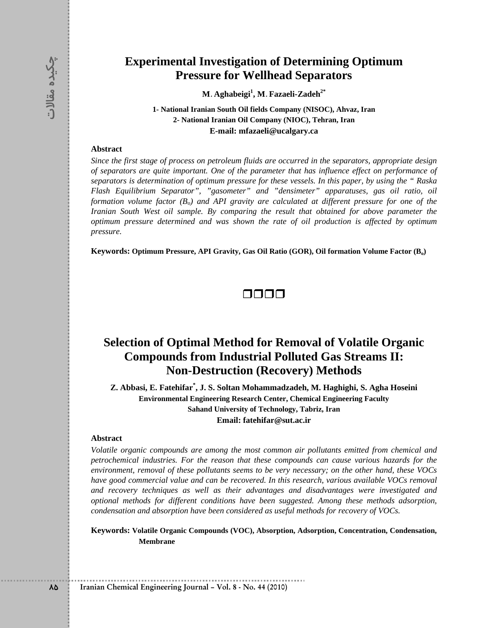### **Experimental Investigation of Determining Optimum Pressure for Wellhead Separators**

**M. Aghabeigi1 , M. Fazaeli-Zadeh2\***

**1- National Iranian South Oil fields Company (NISOC), Ahvaz, Iran 2- National Iranian Oil Company (NIOC), Tehran, Iran E-mail: mfazaeli@ucalgary.ca** 

#### **Abstract**

**Experimental Investigation of E**<br> **BESIC PRESSURE COT Wellhead**<br> **Example 15**<br> **Example 15**<br> **Example 15**<br> **Example 15**<br> **Abstract**<br> **Example 15**<br> **Example 16**<br> **Example 16**<br> **Example 16**<br> **Example 16**<br> **Example 16**<br> **Exa** *Since the first stage of process on petroleum fluids are occurred in the separators, appropriate design of separators are quite important. One of the parameter that has influence effect on performance of separators is determination of optimum pressure for these vessels. In this paper, by using the " Raska Flash Equilibrium Separator", "gasometer" and "densimeter" apparatuses, gas oil ratio, oil formation volume factor* ( $B<sub>o</sub>$ ) and API gravity are calculated at different pressure for one of the *Iranian South West oil sample. By comparing the result that obtained for above parameter the optimum pressure determined and was shown the rate of oil production is affected by optimum pressure.* 

Keywords: Optimum Pressure, API Gravity, Gas Oil Ratio (GOR), Oil formation Volume Factor (B<sub>o</sub>)



# **Selection of Optimal Method for Removal of Volatile Organic Compounds from Industrial Polluted Gas Streams II: Non-Destruction (Recovery) Methods**

**Z. Abbasi, E. Fatehifar\* , J. S. Soltan Mohammadzadeh, M. Haghighi, S. Agha Hoseini Environmental Engineering Research Center, Chemical Engineering Faculty Sahand University of Technology, Tabriz, Iran Email: fatehifar@sut.ac.ir** 

#### **Abstract**

*Volatile organic compounds are among the most common air pollutants emitted from chemical and petrochemical industries. For the reason that these compounds can cause various hazards for the environment, removal of these pollutants seems to be very necessary; on the other hand, these VOCs have good commercial value and can be recovered. In this research, various available VOCs removal and recovery techniques as well as their advantages and disadvantages were investigated and optional methods for different conditions have been suggested. Among these methods adsorption, condensation and absorption have been considered as useful methods for recovery of VOCs.* 

**Keywords: Volatile Organic Compounds (VOC), Absorption, Adsorption, Concentration, Condensation, Membrane**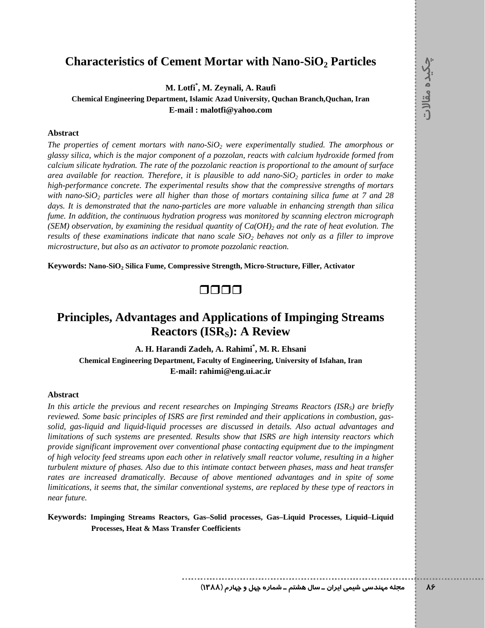### **Characteristics of Cement Mortar with Nano-SiO<sub>2</sub> Particles**

**M. Lotfi\* , M. Zeynali, A. Raufi** 

**Chemical Engineering Department, Islamic Azad University, Quchan Branch,Quchan, Iran E-mail : malotfi@yahoo.com** 

### **Abstract**

The properties of cement mortars with nano-SiO<sub>2</sub> were experimentally studied. The amorphous or *glassy silica, which is the major component of a pozzolan, reacts with calcium hydroxide formed from calcium silicate hydration. The rate of the pozzolanic reaction is proportional to the amount of surface area available for reaction. Therefore, it is plausible to add nano-SiO<sub>2</sub> particles in order to make high-performance concrete. The experimental results show that the compressive strengths of mortars with nano-SiO2 particles were all higher than those of mortars containing silica fume at 7 and 28 days. It is demonstrated that the nano-particles are more valuable in enhancing strength than silica fume. In addition, the continuous hydration progress was monitored by scanning electron micrograph*   $(SEM)$  observation, by examining the residual quantity of  $Ca(OH)_2$  and the rate of heat evolution. The *results of these examinations indicate that nano scale*  $SiO<sub>2</sub>$  *behaves not only as a filler to improve microstructure, but also as an activator to promote pozzolanic reaction.* 

**Keywords: Nano-SiO2 Silica Fume, Compressive Strength, Micro-Structure, Filler, Activator** 

## 0000

## **Principles, Advantages and Applications of Impinging Streams Reactors (ISRs): A Review**

**A. H. Harandi Zadeh, A. Rahimi\* , M. R. Ehsani Chemical Engineering Department, Faculty of Engineering, University of Isfahan, Iran E-mail: rahimi@eng.ui.ac.ir** 

### **Abstract**

In this article the previous and recent researches on Impinging Streams Reactors (ISR<sub>S</sub>) are briefly *reviewed. Some basic principles of ISRS are first reminded and their applications in combustion, gassolid, gas-liquid and liquid-liquid processes are discussed in details. Also actual advantages and limitations of such systems are presented. Results show that ISRS are high intensity reactors which provide significant improvement over conventional phase contacting equipment due to the impingment of high velocity feed streams upon each other in relatively small reactor volume, resulting in a higher turbulent mixture of phases. Also due to this intimate contact between phases, mass and heat transfer rates are increased dramatically. Because of above mentioned advantages and in spite of some limitications, it seems that, the similar conventional systems, are replaced by these type of reactors in near future.* 

**Keywords: Impinging Streams Reactors, Gas–Solid processes, Gas–Liquid Processes, Liquid–Liquid Processes, Heat & Mass Transfer Coefficients**